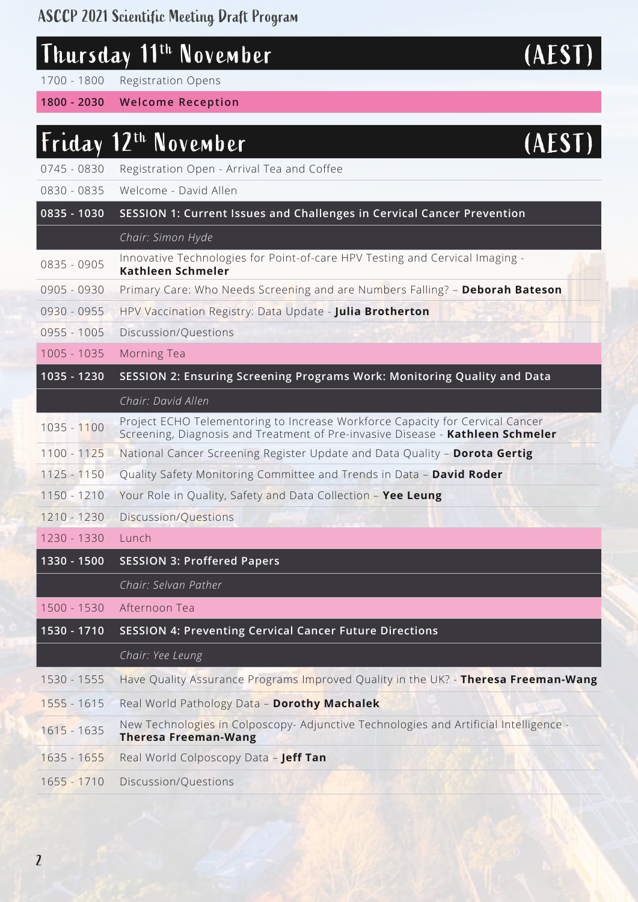### ASCCP 2021 Scientific Meeting Draft Program

| Thursday 11 <sup>th</sup> November | (AEST) |
|------------------------------------|--------|
|                                    |        |

1700 - 1800 Registration Opens

**1800 - 2030 Welcome Reception**

### Friday 12th November (AEST)

- 0745 0830 Registration Open Arrival Tea and Coffee
- 0830 0835 Welcome David Allen
- **0835 1030 SESSION 1: Current Issues and Challenges in Cervical Cancer Prevention**
	- *Chair: Simon Hyde*
- 0835 0905 Innovative Technologies for Point-of-care HPV Testing and Cervical Imaging -**Kathleen Schmeler**
- 0905 0930 Primary Care: Who Needs Screening and are Numbers Falling? **Deborah Bateson**
- 0930 0955 HPV Vaccination Registry: Data Update **Julia Brotherton**
- 0955 1005 Discussion/Questions
- 1005 1035 Morning Tea

## **1035 - 1230 SESSION 2: Ensuring Screening Programs Work: Monitoring Quality and Data**

- *Chair: David Allen*
- 1035 1100 Project ECHO Telementoring to Increase Workforce Capacity for Cervical Cancer Screening, Diagnosis and Treatment of Pre-invasive Disease - **Kathleen Schmeler**
- 1100 1125 National Cancer Screening Register Update and Data Quality **Dorota Gertig**
- 1125 1150 Quality Safety Monitoring Committee and Trends in Data **David Roder**
- 1150 1210 Your Role in Quality, Safety and Data Collection **Yee Leung**
- 1210 1230 Discussion/Questions
- 1230 1330 Lunch
- **1330 1500 SESSION 3: Proffered Papers**

*Chair: Selvan Pather*

1500 - 1530 Afternoon Tea

|  | 1530 - 1710 SESSION 4: Preventing Cervical Cancer Future Directions |  |  |  |
|--|---------------------------------------------------------------------|--|--|--|
|  |                                                                     |  |  |  |

*Chair: Yee Leung*

|  |  |  |  | 1530 - 1555 Have Quality Assurance Programs Improved Quality in the UK? - Theresa Freeman-Wang |
|--|--|--|--|------------------------------------------------------------------------------------------------|
|--|--|--|--|------------------------------------------------------------------------------------------------|

- 1555 1615 Real World Pathology Data **Dorothy Machalek**
- 1615 1635 New Technologies in Colposcopy- Adjunctive Technologies and Artificial Intelligence -**Theresa Freeman-Wang**
- 1635 1655 Real World Colposcopy Data – **Jeff Tan**
- 1655 1710 Discussion/Questions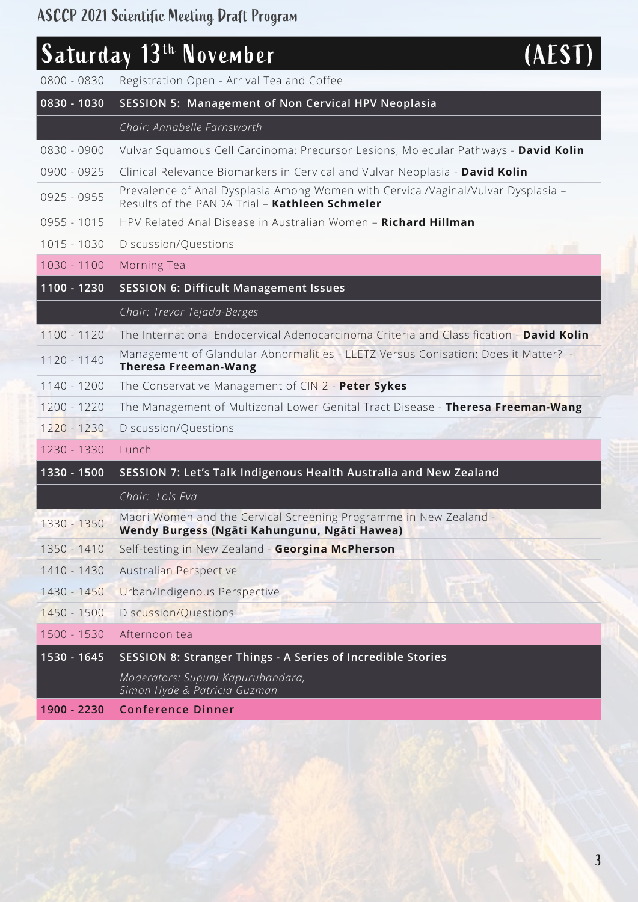# Saturday 13<sup>th</sup> November (AEST)

| 0800 - 0830 | Registration Open - Arrival Tea and Coffee                                                                                          |
|-------------|-------------------------------------------------------------------------------------------------------------------------------------|
| 0830 - 1030 | <b>SESSION 5: Management of Non Cervical HPV Neoplasia</b>                                                                          |
|             | Chair: Annabelle Farnsworth                                                                                                         |
| 0830 - 0900 | Vulvar Squamous Cell Carcinoma: Precursor Lesions, Molecular Pathways - David Kolin                                                 |
| 0900 - 0925 | Clinical Relevance Biomarkers in Cervical and Vulvar Neoplasia - David Kolin                                                        |
| 0925 - 0955 | Prevalence of Anal Dysplasia Among Women with Cervical/Vaginal/Vulvar Dysplasia -<br>Results of the PANDA Trial - Kathleen Schmeler |
| 0955 - 1015 | HPV Related Anal Disease in Australian Women - Richard Hillman                                                                      |
| 1015 - 1030 | Discussion/Questions                                                                                                                |
| 1030 - 1100 | Morning Tea                                                                                                                         |
| 1100 - 1230 | <b>SESSION 6: Difficult Management Issues</b>                                                                                       |
|             | Chair: Trevor Tejada-Berges                                                                                                         |
| 1100 - 1120 | The International Endocervical Adenocarcinoma Criteria and Classification - David Kolin                                             |
| 1120 - 1140 | Management of Glandular Abnormalities - LLETZ Versus Conisation: Does it Matter? -<br><b>Theresa Freeman-Wang</b>                   |
| 1140 - 1200 | The Conservative Management of CIN 2 - Peter Sykes                                                                                  |
| 1200 - 1220 | The Management of Multizonal Lower Genital Tract Disease - Theresa Freeman-Wang                                                     |
| 1220 - 1230 | Discussion/Questions                                                                                                                |
| 1230 - 1330 | Lunch                                                                                                                               |
| 1330 - 1500 | SESSION 7: Let's Talk Indigenous Health Australia and New Zealand                                                                   |
|             | Chair: Lois Eva                                                                                                                     |
| 1330 - 1350 | Māori Women and the Cervical Screening Programme in New Zealand -<br>Wendy Burgess (Ngāti Kahungunu, Ngāti Hawea)                   |
| 1350 - 1410 | Self-testing in New Zealand - Georgina McPherson                                                                                    |
| 1410 - 1430 | Australian Perspective                                                                                                              |
| 1430 - 1450 | Urban/Indigenous Perspective                                                                                                        |
| 1450 - 1500 | Discussion/Questions                                                                                                                |
| 1500 - 1530 | Afternoon tea                                                                                                                       |
| 1530 - 1645 | SESSION 8: Stranger Things - A Series of Incredible Stories                                                                         |
|             | Moderators: Supuni Kapurubandara,<br>Simon Hyde & Patricia Guzman                                                                   |
| 1900 - 2230 | <b>Conference Dinner</b>                                                                                                            |